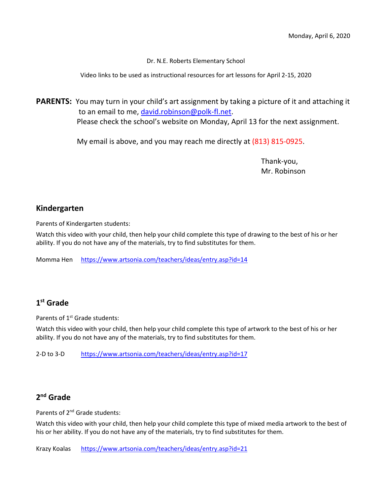Dr. N.E. Roberts Elementary School

Video links to be used as instructional resources for art lessons for April 2-15, 2020

**PARENTS:** You may turn in your child's art assignment by taking a picture of it and attaching it to an email to me, [david.robinson@polk-fl.net.](mailto:david.robinson@polk-fl.net) Please check the school's website on Monday, April 13 for the next assignment.

My email is above, and you may reach me directly at (813) 815-0925.

Thank-you, Mr. Robinson

### **Kindergarten**

Parents of Kindergarten students:

Watch this video with your child, then help your child complete this type of drawing to the best of his or her ability. If you do not have any of the materials, try to find substitutes for them.

Momma Hen <https://www.artsonia.com/teachers/ideas/entry.asp?id=14>

# **1st Grade**

Parents of 1<sup>st</sup> Grade students:

Watch this video with your child, then help your child complete this type of artwork to the best of his or her ability. If you do not have any of the materials, try to find substitutes for them.

2-D to 3-D <https://www.artsonia.com/teachers/ideas/entry.asp?id=17>

#### **2nd Grade**

Parents of 2<sup>nd</sup> Grade students:

Watch this video with your child, then help your child complete this type of mixed media artwork to the best of his or her ability. If you do not have any of the materials, try to find substitutes for them.

Krazy Koalas <https://www.artsonia.com/teachers/ideas/entry.asp?id=21>